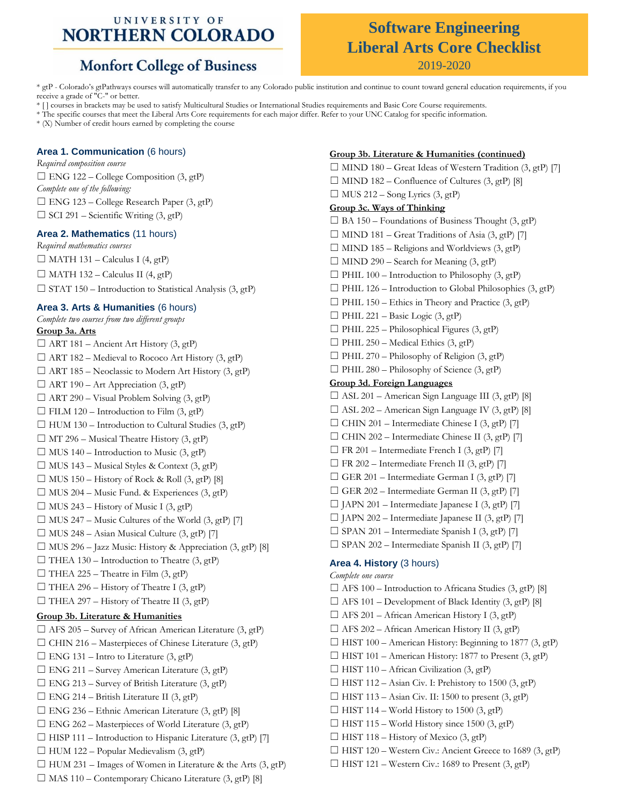### UNIVERSITY OF **NORTHERN COLORADO**

## **Monfort College of Business**

# **Software Engineering Liberal Arts Core Checklist**

2019-2020

\* gtP - Colorado's gtPathways courses will automatically transfer to any Colorado public institution and continue to count toward general education requirements, if you receive a grade of "C-" or better.

\* [ ] courses in brackets may be used to satisfy Multicultural Studies or International Studies requirements and Basic Core Course requirements.

\* The specific courses that meet the Liberal Arts Core requirements for each major differ. Refer to your UNC Catalog for specific information.

\* (X) Number of credit hours earned by completing the course

#### **Area 1. Communication** (6 hours)

*Required composition course*  $\square$  ENG 122 – College Composition (3, gtP) *Complete one of the following:*  $\Box$  ENG 123 – College Research Paper (3, gtP)  $\Box$  SCI 291 – Scientific Writing (3, gtP)

#### **Area 2. Mathematics** (11 hours)

*Required mathematics courses*  $\Box$  MATH 131 – Calculus I (4, gtP)  $\Box$  MATH 132 – Calculus II (4, gtP)  $\Box$  STAT 150 – Introduction to Statistical Analysis (3, gtP)

#### **Area 3. Arts & Humanities** (6 hours)

#### *Complete two courses from two different groups* **Group 3a. Arts**

 $\Box$  ART 181 – Ancient Art History (3, gtP)  $\Box$  ART 182 – Medieval to Rococo Art History (3, gtP)  $\Box$  ART 185 – Neoclassic to Modern Art History (3, gtP)  $\Box$  ART 190 – Art Appreciation (3, gtP)  $\Box$  ART 290 – Visual Problem Solving (3, gtP)  $\Box$  FILM 120 – Introduction to Film (3, gtP)  $\Box$  HUM 130 – Introduction to Cultural Studies (3, gtP)  $\Box$  MT 296 – Musical Theatre History (3, gtP)  $\Box$  MUS 140 – Introduction to Music (3, gtP)  $\Box$  MUS 143 – Musical Styles & Context (3, gtP)  $\Box$  MUS 150 – History of Rock & Roll (3, gtP) [8]  $\Box$  MUS 204 – Music Fund. & Experiences (3, gtP)  $\Box$  MUS 243 – History of Music I (3, gtP)  $\Box$  MUS 247 – Music Cultures of the World (3, gtP) [7]  $\Box$  MUS 248 – Asian Musical Culture (3, gtP) [7]  $\Box$  MUS 296 – Jazz Music: History & Appreciation (3, gtP) [8]  $\Box$  THEA 130 – Introduction to Theatre (3, gtP)  $\Box$  THEA 225 – Theatre in Film (3, gtP)  $\Box$  THEA 296 – History of Theatre I (3, gtP)  $\Box$  THEA 297 – History of Theatre II (3, gtP) **Group 3b. Literature & Humanities**  $\Box$  AFS 205 – Survey of African American Literature (3, gtP)  $\Box$  CHIN 216 – Masterpieces of Chinese Literature (3, gtP)  $\Box$  ENG 131 – Intro to Literature (3, gtP)  $\Box$  ENG 211 – Survey American Literature (3, gtP)  $\Box$  ENG 213 – Survey of British Literature (3, gtP)  $\Box$  ENG 214 – British Literature II (3, gtP)  $\Box$  ENG 236 – Ethnic American Literature (3, gtP) [8]  $\Box$  ENG 262 – Masterpieces of World Literature (3, gtP)  $\Box$  HISP 111 – Introduction to Hispanic Literature (3, gtP) [7]  $\Box$  HUM 122 – Popular Medievalism (3, gtP)  $\Box$  HUM 231 – Images of Women in Literature & the Arts (3, gtP)  $\Box$  MAS 110 – Contemporary Chicano Literature (3, gtP) [8]

#### **Group 3b. Literature & Humanities (continued)**

 $\Box$  MIND 180 – Great Ideas of Western Tradition (3, gtP) [7]  $\Box$  MIND 182 – Confluence of Cultures (3, gtP) [8]  $\Box$  MUS 212 – Song Lyrics (3, gtP) **Group 3c. Ways of Thinking**  $\Box$  BA 150 – Foundations of Business Thought (3, gtP)  $\Box$  MIND 181 – Great Traditions of Asia (3, gtP) [7]  $\Box$  MIND 185 – Religions and Worldviews (3, gtP)  $\Box$  MIND 290 – Search for Meaning (3, gtP)  $\Box$  PHIL 100 – Introduction to Philosophy (3, gtP)  $\Box$  PHIL 126 – Introduction to Global Philosophies (3, gtP)  $\Box$  PHIL 150 – Ethics in Theory and Practice (3, gtP)  $\Box$  PHIL 221 – Basic Logic (3, gtP)  $\Box$  PHIL 225 – Philosophical Figures (3, gtP)  $\Box$  PHIL 250 – Medical Ethics (3, gtP)  $\Box$  PHIL 270 – Philosophy of Religion (3, gtP)  $\Box$  PHIL 280 – Philosophy of Science (3, gtP) **Group 3d. Foreign Languages**  $\Box$  ASL 201 – American Sign Language III (3, gtP) [8]  $\Box$  ASL 202 – American Sign Language IV (3, gtP) [8]  $\Box$  CHIN 201 – Intermediate Chinese I (3, gtP) [7]  $\Box$  CHIN 202 – Intermediate Chinese II (3, gtP) [7]  $\Box$  FR 201 – Intermediate French I (3, gtP) [7]  $\Box$  FR 202 – Intermediate French II (3, gtP) [7]  $\Box$  GER 201 – Intermediate German I (3, gtP) [7]  $\Box$  GER 202 – Intermediate German II (3, gtP) [7]  $\Box$  JAPN 201 – Intermediate Japanese I (3, gtP) [7]  $\Box$  JAPN 202 – Intermediate Japanese II (3, gtP) [7]  $\Box$  SPAN 201 – Intermediate Spanish I (3, gtP) [7]  $\Box$  SPAN 202 – Intermediate Spanish II (3, gtP) [7] **Area 4. History** (3 hours) *Complete one course*  $\Box$  AFS 100 – Introduction to Africana Studies (3, gtP) [8]  $\Box$  AFS 101 – Development of Black Identity (3, gtP) [8]  $\Box$  AFS 201 – African American History I (3, gtP)  $\Box$  AFS 202 – African American History II (3, gtP) ☐ HIST 100 – American History: Beginning to 1877 (3, gtP)  $\Box$  HIST 101 – American History: 1877 to Present (3, gtP)  $\Box$  HIST 110 – African Civilization (3, gtP) ☐ HIST 112 – Asian Civ. I: Prehistory to 1500 (3, gtP)  $\Box$  HIST 113 – Asian Civ. II: 1500 to present (3, gtP)  $\Box$  HIST 114 – World History to 1500 (3, gtP)  $\Box$  HIST 115 – World History since 1500 (3, gtP)

- $\Box$  HIST 118 History of Mexico (3, gtP)
- ☐ HIST 120 Western Civ.: Ancient Greece to 1689 (3, gtP)
- $\Box$  HIST 121 Western Civ.: 1689 to Present (3, gtP)